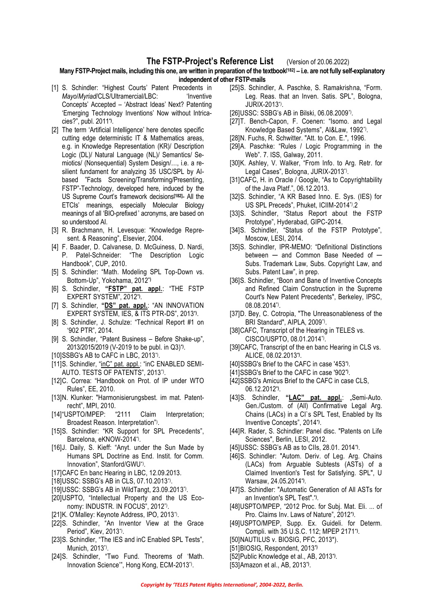## **The FSTP-Project's Reference List** (Version of 20.06.2022)

## **Many FSTP-Project mails, including this one, are written in preparation of the textbook[182] – i.e. are not fully self-explanatory independent of other FSTP-mails**

- [1] S. Schindler: "Highest Courts' Patent Precedents in *Mayo/Myriad/CLS/Ultramercial/LBC:* 'Inventive Concepts' Accepted – 'Abstract Ideas' Next? Patenting 'Emerging Technology Inventions' Now without Intricacies?", publ. 2011**\*)** .
- [2] The term 'Artificial Intelligence' here denotes specific cutting edge deterministic IT & Mathematics areas, e.g. in Knowledge Representation (KR)/ Description Logic (DL)/ Natural Language (NL)/ Semantics/ Semiotics/ (Nonsequential) System Design/…, i.e. a resilient fundament for analyzing 35 USC/SPL by AIbased "Facts Screening/Transforming/Presenting, FSTP"-Technology, developed here, induced by the US Supreme Court's framework decisions**[182]**- All the ETCIs' meanings, especially Molecular Biology meanings of all 'BIO-prefixed ' acronyms, are based on so understood AI.
- [3] R. Brachmann, H. Levesque: "Knowledge Represent. & Reasoning", Elsevier, 2004.
- [4] F. Baader, D. Calvanese, D. McGuiness, D. Nardi, P. Patel-Schneider: "The Description Logic Handbook", CUP, 2010.
- [5] S. Schindler: "Math. Modeling SPL Top-Down vs. Bottom-Up", Yokohama, 2012**\*)**
- [6] S. Schindler, **"FSTP" pat. appl.**: "THE FSTP EXPERT SYSTEM", 2012**\*)** .
- [7] S. Schindler, **"DS" pat. appl.**: "AN INNOVATION EXPERT SYSTEM, IES, & ITS PTR-DS", 2013**\*)** .
- [8] S. Schindler, J. Schulze: "Technical Report #1 on '902 PTR", 2014.
- [9] S. Schindler, "Patent Business Before Shake-up", 2013/2015/2019 (V-2019 to be publ. in Q3)**\*)** .
- [10]SSBG's AB to CAFC in LBC, 2013\*) .
- [11]S. Schindler, "inC" pat. appl.: "inC ENABLED SEMI-AUTO. TESTS OF PATENTS", 2013\*) .
- [12]C. Correa: "Handbook on Prot. of IP under WTO Rules", EE, 2010.
- [13]N. Klunker: "Harmonisierungsbest. im mat. Patentrecht", MPI, 2010.
- [14]"USPTO/MPEP: "2111 Claim Interpretation; Broadest Reason. Interpretation") .
- [15]S. Schindler: "KR Support for SPL Precedents", Barcelona, eKNOW-2014\*) .
- [16]J. Daily, S. Kieff: "Anyt. under the Sun Made by Humans SPL Doctrine as End. Instit. for Comm. Innovation", Stanford/GWU\*) .
- [17]CAFC En banc Hearing in LBC, 12.09.2013.
- [18]USSC: SSBG's AB in CLS, 07.10.2013\*) .
- [19]USSC: SSBG's AB in WildTangt, 23.09.2013\*).
- [20]USPTO, "Intellectual Property and the US Economy: INDUSTR. IN FOCUS", 2012\*) .
- [21]K. O'Malley: Keynote Address, IPO, 2013\*) .
- [22]S. Schindler, "An Inventor View at the Grace Period", Kiev, 2013\*) .
- [23]S. Schindler, "The IES and inC Enabled SPL Tests", Munich, 2013\*) .
- [24]S. Schindler, "Two Fund. Theorems of 'Math. Innovation Science'", Hong Kong, ECM-2013\*) .
- [25]S. Schindler, A. Paschke, S. Ramakrishna, "Form. Leg. Reas. that an Inven. Satis. SPL", Bologna, JURIX-2013\*) .
- [26] USSC: SSBG's AB in Bilski, 06.08.2009\*).
- [27]T. Bench-Capon, F. Coenen: "Isomo. and Legal Knowledge Based Systems", AI&Law, 1992\*) .
- [28]N. Fuchs, R. Schwitter. "Att. to Con. E.", 1996.
- [29]A. Paschke: "Rules / Logic Programming in the Web". 7. ISS, Galway, 2011.
- [30]K. Ashley, V. Walker, "From Info. to Arg. Retr. for Legal Cases", Bologna, JURIX-2013\*) .
- [31]CAFC, H. in Oracle / Google, "As to Copyrightability of the Java Platf.", 06.12.2013.
- [32]S. Schindler, "A KR Based Inno. E. Sys. (IES) for US SPL Preceds", Phuket, ICIIM-2014\*).2
- [33]S. Schindler, "Status Report about the FSTP Prototype", Hyderabad, GIPC-2014.
- [34]S. Schindler, "Status of the FSTP Prototype", Moscow, LESI, 2014.
- [35]S. Schindler, IPR-MEMO: "Definitional Distinctions between  $-$  and Common Base Needed of  $-$ Subs. Trademark Law, Subs. Copyright Law, and Subs. Patent Law", in prep.
- [36]S. Schindler, "Boon and Bane of Inventive Concepts and Refined Claim Construction in the Supreme Court's New Patent Precedents", Berkeley, IPSC, 08.08.2014\*) .
- [37]D. Bey, C. Cotropia, "The Unreasonableness of the BRI Standard", AIPLA, 2009\*).
- [38]CAFC, Transcript of the Hearing in TELES vs. CISCO/USPTO, 08.01.2014\*) .
- [39]CAFC, Transcript of the en banc Hearing in CLS vs. ALICE, 08.02.2013**\*)** .
- [40]SSBG's Brief to the CAFC in case '453**\*)** .
- [41]SSBG's Brief to the CAFC in case '902**\*)** .
- [42]SSBG's Amicus Brief to the CAFC in case CLS, 06.12.2012**\*)** .
- [43]S. Schindler, "LAC" pat. appl.: "Semi-Auto. Gen./Custom. of (All) Confirmative Legal Arg. Chains (LACs) in a CI`s SPL Test, Enabled by Its Inventive Concepts", 2014**\*)** .
- [44]R. Rader, S. Schindler: Panel disc. "Patents on Life Sciences", Berlin, LESI, 2012.
- [45]USSC: SSBG's AB as to CIIs, 28.01. 2014**\*)** .
- [46]S. Schindler: "Autom. Deriv. of Leg. Arg. Chains (LACs) from Arguable Subtests (ASTs) of a Claimed Invention's Test for Satisfying. SPL", U Warsaw, 24.05.2014**\*)** .
- [47]S. Schindler: "Automatic Generation of All ASTs for an Invention's SPL Test".**\*)** .
- [48]USPTO/MPEP, "2012 Proc. for Subj. Mat. Eli. ... of Pro. Claims Inv. Laws of Nature", 2012**\*)** .
- [49]USPTO/MPEP, Supp. Ex. Guideli. for Determ. Compli. with 35 U.S.C. 112; MPEP 2171**\*)** .
- [50]NAUTILUS v. BIOSIG, PFC, 2013\*).
- [51]BIOSIG, Respondent, 2013**\*)**
- [52]Public Knowledge et al., AB, 2013**\*)** .
- [53]Amazon et al., AB, 2013**\*)** .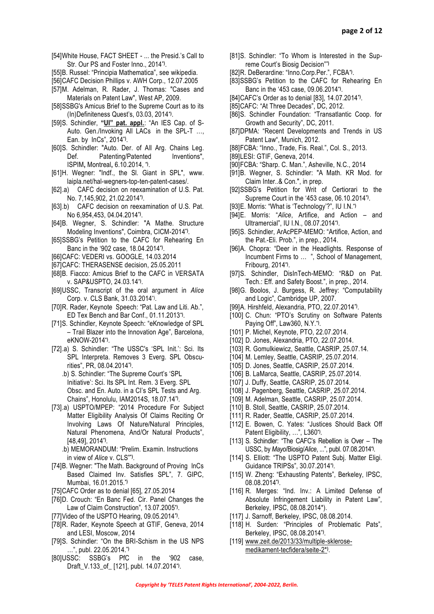- [54]White House, FACT SHEET ... the Presid.'s Call to Str. Our PS and Foster Inno., 2014**\*)** .
- [55]B. Russel: "Principia Mathematica", see wikipedia.
- [56]CAFC Decision Phillips v. AWH Corp., 12.07.2005
- [57]M. Adelman, R. Rader, J. Thomas: "Cases and Materials on Patent Law", West AP, 2009.
- [58]SSBG's Amicus Brief to the Supreme Court as to its (In)Definiteness Quest's, 03.03, 2014**\*)** .
- [59]S. Schindler, **"UI" pat. appl.**: "An IES Cap. of S-Auto. Gen./Invoking All LACs in the SPL-T …, Ean. by InCs", 2014**\*)** .
- [60]S. Schindler: "Auto. Der. of All Arg. Chains Leg. Def. Patenting/Patented Inventions", ISPIM**,** Montreal**,** 6.10.2014, **\*)** .
- [61]H. Wegner: "Indf., the Sl. Giant in SPL", [www.](http://www.laipla.net/)  [laipla.net/h](http://www.laipla.net/)al-wegners-top-ten-patent-cases/.
- [62].a) CAFC decision on reexamination of U.S. Pat. No. 7,145,902, 21.02.2014**\*)** .
- [63].b) CAFC decision on reexamination of U.S. Pat. No 6,954,453, 04.04.2014**\*)** .
- [64]B. Wegner, S. Schindler: "A Mathe. Structure Modeling Inventions", Coimbra, CICM-2014**\*)** .
- [65]SSBG's Petition to the CAFC for Rehearing En Banc in the '902 case, 18.04.2014**\*)** .
- [66]CAFC: VEDERI vs. GOOGLE, 14.03.2014
- [67]CAFC: THERASENSE decision, 25.05.2011
- [68]B. Fiacco: Amicus Brief to the CAFC in VERSATA v. SAP&USPTO, 24.03.14**\*)** .
- [69]USSC, Transcript of the oral argument in *Alice* Corp. v. CLS Bank, 31.03.2014\*) .
- [70]R. Rader, Keynote Speech: "Pat. Law and Liti. Ab.", ED Tex Bench and Bar Conf., 01.11.2013**\*)** .
- [71]S. Schindler, Keynote Speech: "eKnowledge of SPL – Trail Blazer into the Innovation Age", Barcelona, eKNOW-2014**\*)** .
- [72].a) S. Schindler: "The USSC's 'SPL Init.': Sci. Its SPL Interpreta. Removes 3 Everg. SPL Obscurities", PR, 08.04.2014**\*)** .
	- .b) S. Schindler: "The Supreme Court's 'SPL Initiative': Sci. Its SPL Int. Rem. 3 Everg. SPL Obsc. and En. Auto. in a CI's SPL Tests and Arg. Chains", Honolulu, IAM2014S, 18.07.14**\*)** .
- [73].a) USPTO/MPEP: "2014 Procedure For Subject Matter Eligibility Analysis Of Claims Reciting Or Involving Laws Of Nature/Natural Principles, Natural Phenomena, And/Or Natural Products", [48,49], 2014**\*)** .
	- .b) MEMORANDUM: "Prelim. Examin. Instructions in view of *Alice* v. CLS"**\*)** .
- [74]B. Wegner: "The Math. Background of Proving InCs Based Claimed Inv. Satisfies SPL", 7. GIPC, Mumbai, 16.01.2015.**\*)**
- [75]CAFC Order as to denial [65], 27.05.2014
- [76]D. Crouch: "En Banc Fed. Cir. Panel Changes the Law of Claim Construction", 13.07.2005**\*)** .
- [77]Video of the USPTO Hearing, 09.05.2014**\*)** .
- [78]R. Rader, Keynote Speech at GTIF, Geneva, 2014 and LESI, Moscow, 2014
- [79]S. Schindler: "On the BRI-Schism in the US NPS …", publ. 22.05.2014.**\*)**
- [80]USSC: SSBG's PfC in the '902 case, Draft\_V.133\_of\_ [121], publ. 14.07.2014**\*)** .
- [81]S. Schindler: "To Whom is Interested in the Supreme Court's Biosig Decision"**\*)**
- [82]R. DeBerardine: "Inno.Corp.Per.", FCBA**\*)** .
- [83]SSBG's Petition to the CAFC for Rehearing En Banc in the '453 case, 09.06.2014**\*)** .
- [84]CAFC's Order as to denial [83], 14.07.2014**\*)** .
- [85]CAFC: "At Three Decades", DC, 2012.
- [86]S. Schindler Foundation: "Transatlantic Coop. for Growth and Security", DC, 2011.
- [87]DPMA: "Recent Developments and Trends in US Patent Law", Munich, 2012.
- [88]FCBA: "Inno., Trade, Fis. Real.", Col. S., 2013.
- [89]LESI: GTIF, Geneva, 2014.
- [90]FCBA: "Sharp. C. Man.", Asheville, N.C., 2014
- [91]B. Wegner, S. Schindler: "A Math. KR Mod. for Claim Inter..& Con.", in prep.
- [92]SSBG's Petition for Writ of Certiorari to the Supreme Court in the '453 case, 06.10.2014**\*)** .
- [93]E. Morris: "What is 'Technology'?", IU I.N.**\*)**
- [94]E. Morris: "*Alice*, Artifice, and Action and Ultramercial", IU I.N., 08.07.2014**\*)** .
- [95]S. Schindler, ArAcPEP-MEMO: "Artifice, Action, and the Pat.-Eli. Prob.", in prep., 2014.
- [96]A. Chopra: "Deer in the Headlights. Response of Incumbent Firms to … ", School of Management, Fribourg, 2014**\*)** .
- [97]S. Schindler, DisInTech-MEMO: "R&D on Pat. Tech.: Eff. and Safety Boost.", in prep., 2014.
- [98]G. Boolos, J. Burgess, R. Jeffrey: "Computability and Logic", Cambridge UP, 2007.
- [99]A. Hirshfeld, Alexandria, PTO, 22.07.2014**\*)** .
- [100] C. Chun: "PTO's Scrutiny on Software Patents Paying Off", Law360, N.Y.**\*)** .
- [101] P. Michel, Keynote, PTO, 22.07.2014.
- [102] D. Jones, Alexandria, PTO, 22.07.2014.
- [103] R. Gomulkiewicz, Seattle, CASRIP, 25.07.14.
- [104] M. Lemley, Seattle, CASRIP, 25.07.2014.
- [105] D. Jones, Seattle, CASRIP, 25.07.2014.
- [106] B. LaMarca, Seattle, CASRIP, 25.07.2014.
- [107] J. Duffy, Seattle, CASRIP, 25.07.2014.
- [108] J. Pagenberg, Seattle, CASRIP, 25.07.2014.
- [109] M. Adelman, Seattle, CASRIP, 25.07.2014.
- [110] B. Stoll, Seattle, CASRIP, 25.07.2014.
- [111] R. Rader, Seattle, CASRIP, 25.07.2014.
- [112] E. Bowen, C. Yates: "Justices Should Back Off Patent Eligibility, …", L360**\*)** .
- [113] S. Schindler: "The CAFC's Rebellion is Over The USSC, by *Mayo*/Biosig/*Alice*, ...", publ. 07.08.2014**\*)** .
- [114] S. Elliott: "The USPTO Patent Subj. Matter Eligi. Guidance TRIPSs", 30.07.2014**\*)** .
- [115] W. Zheng: "Exhausting Patents", Berkeley, IPSC, 08.08.2014**\*)** .
- [116] R. Merges: "Ind. Inv.: A Limited Defense of Absolute Infringement Liability in Patent Law", Berkeley, IPSC, 08.08.2014\*).
- [117] J. Sarnoff, Berkeley, IPSC, 08.08.2014.
- [118] H. Surden: "Principles of Problematic Pats", Berkeley, IPSC, 08.08.2014**\*)** .
- [119] [www.zeit.de/2013/33/multiple-sklerose](http://www.zeit.de/2013/33/multiple-sklerose-medikament-tecfidera/seite-2*)[medikament-tecfidera/seite-2\\*](http://www.zeit.de/2013/33/multiple-sklerose-medikament-tecfidera/seite-2*)**)** .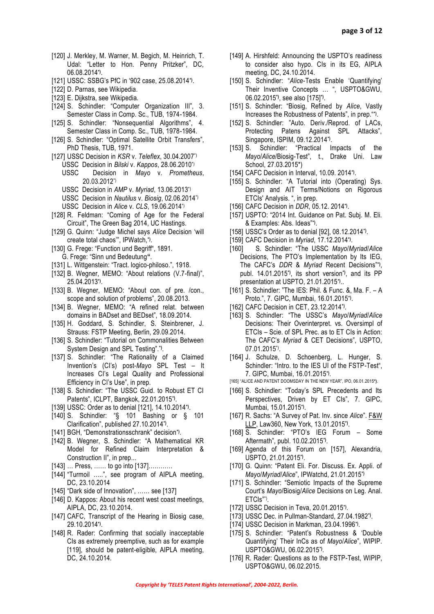- [120] J. Merkley, M. Warner, M. Begich, M. Heinrich, T. Udal: "Letter to Hon. Penny Pritzker", DC, 06.08.2014**\*)** .
- [121] USSC: SSBG's PfC in '902 case, 25.08.2014**\*)** .
- [122] D. Parnas, see Wikipedia.
- [123] E. Dijkstra, see Wikipedia.
- [124] S. Schindler: "Computer Organization III", 3. Semester Class in Comp. Sc., TUB, 1974-1984.
- [125] S. Schindler: "Nonsequential Algorithms", 4. Semester Class in Comp. Sc., TUB, 1978-1984.
- [126] S. Schindler: "Optimal Satellite Orbit Transfers", PhD Thesis, TUB, 1971.
- [127] USSC Decision in *KSR* v. *Teleflex*, 30.04.2007\*) USSC Decision in *Bilski* v. *Kappos*, 28.06.2010\*) USSC Decision in *Mayo* v. *Prometheus*, 20.03.2012\*)
	- USSC Decision in *AMP* v. *Myriad*, 13.06.2013\*)
	- USSC Decision in *Nautilus* v. *Biosig*, 02.06.2014\*)
	- USSC Decision in *Alice* v. *CLS*, 19.06.2014 \*)
- [128] R. Feldman: "Coming of Age for the Federal Circuit", The Green Bag 2014, UC Hastings.
- [129] G. Quinn: "Judge Michel says *Alice* Decision 'will create total chaos'", IPWatch,**\*)** .
- [130] G. Frege: "Function und Begriff", 1891. G. Frege: "Sinn und Bedeutung**"**.
- [131] L. Wittgenstein: "Tract. logico-philoso.", 1918.
- [132] B. Wegner, MEMO: "About relations (V.7-final)", 25.04.2013**\*)** .
- [133] B. Wegner, MEMO: "About con. of pre. /con., scope and solution of problems", 20.08.2013.
- [134] B. Wegner, MEMO: "A refined relat. between domains in BADset and BEDset", 18.09.2014.
- [135] H. Goddard, S. Schindler, S. Steinbrener, J. Strauss: FSTP Meeting, Berlin, 29.09.2014.
- [136] S. Schindler: "Tutorial on Commonalities Between System Design and SPL Testing".**\*)** .
- [137] S. Schindler: "The Rationality of a Claimed Invention's (CI's) post-*Mayo* SPL Test – It Increases CI's Legal Quality and Professional Efficiency in CI's Use", in prep.
- [138] S. Schindler: "The USSC Guid. to Robust ET CI Patents", ICLPT, Bangkok, 22.01.2015**\*)** .
- [139] USSC: Order as to denial [121], 14.10.2014**\*)** .
- [140] S. Schindler: "§ 101 Bashing or § 101 Clarification", published 27.10.2014**\*)** .
- [141] BGH, "Demonstrationsschrank" decision**\*)** .
- [142] B. Wegner, S. Schindler: "A Mathematical KR Model for Refined Claim Interpretation & Construction II", in prep...
- [143] ... Press, ...... to go into [137]...........
- [144] "Turmoil …..", see program of AIPLA meeting, DC, 23.10.2014
- [145] "Dark side of Innovation", …… see [137]
- [146] D. Kappos: About his recent west coast meetings, AIPLA, DC, 23.10.2014.
- [147] CAFC, Transcript of the Hearing in Biosig case, 29.10.2014**\*)** .
- [148] R. Rader: Confirming that socially inacceptable CIs as extremely preemptive, such as for example [119], should be patent-eligible, AIPLA meeting, DC, 24.10.2014.
- [149] A. Hirshfeld: Announcing the USPTO's readiness to consider also hypo. CIs in its EG, AIPLA meeting, DC, 24.10.2014.
- [150] S. Schindler: "*Alice*-Tests Enable 'Quantifying' Their Inventive Concepts … ", USPTO&GWU, 06.02.2015**\*)**, see also [175]**\*)** .
- [151] S. Schindler: "Biosig, Refined by *Alice*, Vastly Increases the Robustness of Patents", in prep."**\*)** .
- [152] S. Schindler: "Auto. Deriv./Reprod. of LACs, Protecting Patens Against SPL Attacks", Singapore, ISPIM, 09.12.2014**\*)** .
- [153] S. Schindler: "Practical Impacts of the *Mayo*/*Alice*/Biosig-Test", t., Drake Uni. Law School, 27.03.2015\*)
- [154] CAFC Decision in Interval, 10.09. 2014**\*)** .
- [155] S. Schindler: "A Tutorial into (Operating) Sys. Design and AIT Terms/Notions on Rigorous ETCIs' Analysis. ", in prep.
- [156] CAFC Decision in *DDR*, 05.12. 2014**\*)** .
- [157] USPTO: "2014 Int. Guidance on Pat. Subj. M. Eli. & Examples: Abs. Ideas"**\*)** .
- [158] USSC's Order as to denial [92], 08.12.2014**\*)** .
- [159] CAFC Decision in *Myriad*, 17.12.2014**\*)** .
- [160] S. Schindler: "The USSC *Mayo*/*Myriad*/*Alice* Decisions, The PTO's Implementation by Its IEG, The CAFC's *DDR* & *Myriad* Recent Decisions"**\*)** , publ. 14.01.2015**\*)**, its short version**\*)**, and its PP presentation at USPTO, 21.01.2015**\*)** ..
- [161] S. Schindler: "The IES: Phil. & Func. &, Ma. F. A Proto.", 7. GIPC, Mumbai, 16.01.2015**\*)** .
- [162] CAFC Decision in CET, 23.12.2014**\*)** .
- [163] S. Schindler: "The USSC's *Mayo*/*Myriad*/*Alice* Decisions: Their Overinterpret. vs. Oversimpl of ETCIs – Scie. of SPL Prec. as to ET CIs in Action: The CAFC's *Myriad* & CET Decisions", USPTO, 07.01.2015\*) .
- [164] J. Schulze, D. Schoenberg, L. Hunger, S. Schindler: "Intro. to the IES UI of the FSTP-Test", 7. GIPC, Mumbai, 16.01.2015**\*)** .
- [165] "ALICE AND PATENT DOOMSDAY IN THE NEW YEAR", IPO, 06.01.2015**\*)**.
- [166] S. Schindler: "Today's SPL Precedents and Its Perspectives, Driven by ET CIs", 7. GIPC, Mumbai, 15.01.2015**\*)** .
- [167] R. Sachs: "A Survey of Pat. Inv. since *Alice*". [F&W](http://www.law360.com/firms/fenwick-west)  [LLP,](http://www.law360.com/firms/fenwick-west) Law360, New York, 13.01.2015**\*)** .
- [168] S. Schindler: "PTO's IEG Forum Some Aftermath", publ. 10.02.2015**\*)** .
- [169] Agenda of this Forum on [157], Alexandria, USPTO, 21.01.2015**\*)** .
- [170] G. Quinn: "Patent Eli. For. Discuss. Ex. Appli. of *Mayo*/*Myriad*/*Alice*", IPWatchd, 21.01.2015**\*)**
- [171] S. Schindler: "Semiotic Impacts of the Supreme Court's *Mayo*/Biosig/*Alice* Decisions on Leg. Anal. ETCIs"\*) .
- [172] USSC Decision in Teva, 20.01.2015**\*)** .
- [173] USSC Dec. in Pullman-Standard, 27.04.1982**\*)** .
- [174] USSC Decision in Markman, 23.04.1996**\*)** .
- [175] S. Schindler: "Patent's Robustness & 'Double Quantifying' Their InCs as of *Mayo*/*Alice*", WIPIP. USPTO&GWU, 06.02.2015**\*)** .
- [176] R. Rader: Questions as to the FSTP-Test, WIPIP, USPTO&GWU, 06.02.2015.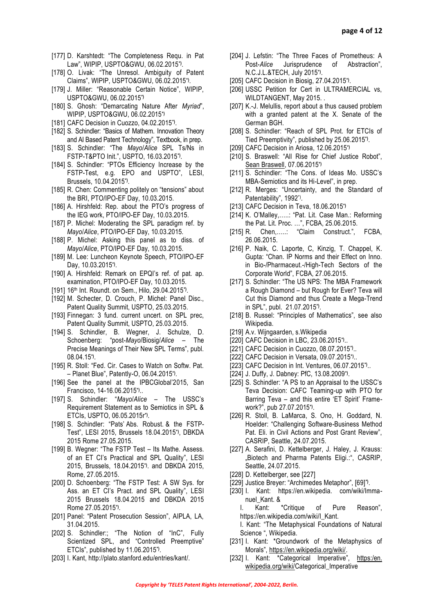- [177] D. Karshtedt: "The Completeness Requ. in Pat Law", WIPIP, USPTO&GWU, 06.02.2015**\*)** .
- [178] O. Livak: "The Unresol. Ambiguity of Patent Claims", WIPIP, USPTO&GWU, 06.02.2015**\*)** .
- [179] J. Miller: "Reasonable Certain Notice", WIPIP, USPTO&GWU, 06.02.2015**\*)**
- [180] S. Ghosh: "Demarcating Nature After *Myriad*", WIPIP, USPTO&GWU, 06.02.2015**\*)**
- [181] CAFC Decision in Cuozzo, 04.02.2015**\*)** .
- [182] S. Schindler: "Basics of Mathem. Innovation Theory and AI Based Patent Technology", Textbook, in prep.
- [183] S. Schindler: "The *Mayo*/*Alice* SPL Ts/Ns in FSTP-T&PTO Init.", USPTO, 16.03.2015**\*)** .
- [184] S. Schindler: "PTOs Efficiency Increase by the FSTP-Test, e.g. EPO and USPTO", LESI, Brussels, 10.04.2015**\*)** .
- [185] R. Chen: Commenting politely on "tensions" about the BRI, PTO/IPO-EF Day, 10.03.2015.
- [186] A. Hirshfeld: Rep. about the PTO's progress of the IEG work, PTO/IPO-EF Day, 10.03.2015.
- [187] P. Michel: Moderating the SPL paradigm ref. by *Mayo*/*Alice*, PTO/IPO-EF Day, 10.03.2015.
- [188] P. Michel: Asking this panel as to diss. of *Mayo*/*Alice*, PTO/IPO-EF Day, 10.03.2015.
- [189] M. Lee: Luncheon Keynote Speech, PTO/IPO-EF Day, 10.03.2015**\*)** .
- [190] A. Hirshfeld: Remark on EPQI's ref. of pat. ap. examination, PTO/IPO-EF Day, 10.03.2015.
- [191] 16th Int. Roundt. on Sem., Hilo, 29.04.2015**\*)** .
- [192] M. Schecter, D. Crouch, P. Michel: Panel Disc., Patent Quality Summit, USPTO, 25.03.2015.
- [193] Finnegan: 3 fund. current uncert. on SPL prec, Patent Quality Summit, USPTO, 25.03.2015.
- [194] S. Schindler, B. Wegner, J. Schulze, D. Schoenberg: "post-*Mayo*/Biosig/*Alice* – The Precise Meanings of Their New SPL Terms", publ. 08.04.15**\*)** .
- [195] R. Stoll: "Fed. Cir. Cases to Watch on Softw. Pat. – Planet Blue", Patently-O, 06.04.2015**\*)** .
- [196] See the panel at the IPBCGlobal'2015, San Francisco, 14-16.06.2015**\*)** ..
- [197] S. Schindler: "*Mayo*/*Alice* The USSC's Requirement Statement as to Semiotics in SPL & ETCIs, USPTO, 06.05.2015r**\*)** .
- [198] S. Schindler: "Pats' Abs. Robust. & the FSTP-Test", LESI 2015, Brussels 18.04.2015**\*)**, DBKDA 2015 Rome 27.05.2015.
- [199] B. Wegner: "The FSTP Test Its Mathe. Assess. of an ET CI's Practical and SPL Quality", LESI 2015, Brussels, 18.04.2015**\*)** . and DBKDA 2015, Rome, 27.05.2015.
- [200] D. Schoenberg: "The FSTP Test: A SW Sys. for Ass. an ET CI's Pract. and SPL Quality", LESI 2015 Brussels 18.04.2015 and DBKDA 2015 Rome 27.05.2015**\*)** .
- [201] Panel: "Patent Prosecution Session", AIPLA, LA, 31.04.2015.
- [202] S. Schindler:; "The Notion of "InC", Fully Scientized SPL, and "Controlled Preemptive" ETCIs", published by 11.06.2015**\*)** .
- [203] I. Kant, http://plato.stanford.edu/entries/kant/.
- [204] J. Lefstin: "The Three Faces of Prometheus: A Post-*Alice* Jurisprudence of Abstraction", N.C.J.L.&TECH, July 2015**\*)** .
- [205] CAFC Decision in Biosig, 27.04.2015**\*)** .
- [206] USSC Petition for Cert in ULTRAMERCIAL vs, WILDTANGENT, May 2015. .
- [207] K.-J. Melullis, report about a thus caused problem with a granted patent at the X. Senate of the German BGH.
- [208] S. Schindler: "Reach of SPL Prot. for ETCIs of Tied Preemptivity", published by 25.06.2015**\*)** .
- [209] CAFC Decision in Ariosa, 12.06.2015**\*)**
- [210] S. Braswell: "All Rise for Chief Justice Robot", [Sean Braswell,](http://www.ozy.com/ozy-tribe/sean-braswell/1319) 07.06.2015**\*)**
- [211] S. Schindler: "The Cons. of Ideas Mo. USSC's MBA-Semiotics and its Hi-Level", in prep.
- [212] R. Merges: "Uncertainty, and the Standard of Patentability", 1992\*).
- [213] CAFC Decision in Teva, 18.06.2015**\*)**
- [214] K. O'Malley,…..: "Pat. Lit. Case Man.: Reforming the Pat. Lit. Proc. …", FCBA, 25.06.2015.
- [215] R. Chen,.....: "Claim Construct.", FCBA, 26.06.2015.
- [216] P. Naik, C. Laporte, C, Kinzig, T. Chappel, K. Gupta: "Chan. IP Norms and their Effect on Inno. in Bio-/Pharmaceut.-/High-Tech Sectors of the Corporate World", FCBA, 27.06.2015.
- [217] S. Schindler: "The US NPS: The MBA Framework a Rough Diamond – but Rough for Ever? Teva will Cut this Diamond and thus Create a Mega-Trend in SPL", publ. 21.07.2015**\*)** .
- [218] B. Russel: "Principles of Mathematics", see also Wikipedia.
- [219] A.v. Wijngaarden, s.Wikipedia
- [220] CAFC Decision in LBC, 23.06.2015**\*)** ..
- [221] CAFC Decision in Cuozzo, 08.07.2015**\*)** ..
- [222] CAFC Decision in Versata, 09.07.2015**\*)** ..
- [223] CAFC Decision in Int. Ventures, 06.07.2015**\*)** ..
- [224] J. Duffy, J. Dabney: PfC, 13.08.2009**\*)** .
- [225] S. Schindler: "A PS to an Appraisal to the USSC's Teva Decision: CAFC Teaming-up with PTO for Barring Teva – and this entire 'ET Spirit' Framework?", pub 27.07.2015**\*)** .
- [226] R. Stoll, B. LaMarca, S. Ono, H. Goddard, N. Hoelder: "Challenging Software-Business Method Pat. Eli. in Civil Actions and Post Grant Review", CASRIP, Seattle, 24.07.2015.
- [227] A. Serafini, D. Kettelberger, J. Haley, J. Krauss: "Biotech and Pharma Patents Eligi.:", CASRIP, Seattle, 24.07.2015.
- [228] D. Kettelberger, see [227]
- [229] Justice Breyer: "Archimedes Metaphor", [69]**\*)** .
- [230] I. Kant: https://en.wikipedia. com/wiki/Immanuel\_Kant. &
	- I. Kant: \*Critique of Pure Reason", https://en.wikipedia.com/wiki/I\_Kant. I. Kant: "The Metaphysical Foundations of Natural Science ", Wikipedia.
- [231] I. Kant: \*Groundwork of the Metaphysics of Morals", [https://en.wikipedia.org/wiki/.](https://en.wikipedia.org/wiki/)
- [232] I. Kant: \*Categorical Imperative", https:/en. [wikipedia.org/wiki/C](https://en.wikipedia.org/wiki/)ategorical\_Imperative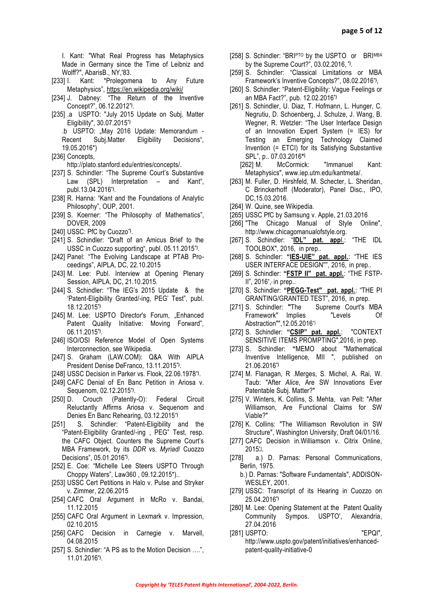I. Kant: "What Real Progress has Metaphysics Made in Germany since the Time of Leibniz and Wolff?", AbarisB., NY,'83.

- [233] I. Kant: \*Prolegomena to Any Future Metaphysics", <https://en.wikipedia.org/wiki/>
- [234] J. Dabney: "The Return of the Inventive Concept?", 06.12.2012**\*)** .
- [235] .a USPTO: "July 2015 Update on Subj. Matter Eligibility", 30.07.2015**\*)** .b USPTO: "May 2016 Update: Memorandum -
	- Recent Subj.Matter Eligibility Decisions", 19.05.2016\*)
- [236] Concepts,

[http://plato.stanford.edu/entries/concepts/.](http://plato.stanford.edu/entries/concepts/)

- [237] S. Schindler: "The Supreme Court's Substantive Law (SPL) Interpretation - and Kant", publ.13.04.2016 **\*)** .
- [238] R. Hanna: "Kant and the Foundations of Analytic Philosophy", OUP, 2001.
- [239] S. Koerner: "The Philosophy of Mathematics", DOVER, 2009
- [240] USSC: PfC by Cuozzo**\*)** .
- [241] S. Schindler: "Draft of an Amicus Brief to the USSC in Cuozzo supporting", publ. 05.11.2015**\*)** .
- [242] Panel: "The Evolving Landscape at PTAB Proceedings", AIPLA, DC, 22.10.2015
- [243] M. Lee: Publ. Interview at Opening Plenary Session, AIPLA, DC, 21.10.2015.
- [244] S. Schindler: "The IEG's 2015 Update & the 'Patent-Eligibility Granted/-ing, PEG' Test", publ. 18.12.2015**\*)**
- [245] M. Lee: USPTO Director's Forum, "Enhanced Patent Quality Initiative: Moving Forward", 06.11.2015**\*)** .
- [246] ISO/OSI Reference Model of Open Systems Interconnection, see Wikipedia.
- [247] S. Graham (LAW.COM): Q&A With AIPLA President Denise DeFranco, 13.11.2015**\*)** .
- [248] USSC Decision in Parker vs. Flook, 22.06.1978**\*)** .
- [249] CAFC Denial of En Banc Petition in Ariosa v. Sequenom, 02.12.2015**\*)** .
- [250] D. Crouch (Patently-O): Federal Circuit Reluctantly Affirms Ariosa v. Sequenom and Denies En Banc Rehearing, 03.12.2015**\*)**
- [251] S. Schindler: "Patent-Eligibility and the "Patent-Eligibility Granted/-ing , PEG" Test, resp. the CAFC Object. Counters the Supreme Court's MBA Framework, by its *DDR* vs. *Myriad*/ Cuozzo Decisions", 05.01.2016**\*)** .
- [252] E. Coe: "Michelle Lee Steers USPTO Through Choppy Waters", Law360 , 09.12.2015\*)..
- [253] USSC Cert Petitions in Halo v. Pulse and Stryker v. Zimmer, 22.06.2015
- [254] CAFC Oral Argument in McRo v. Bandai, 11.12.2015
- [255] CAFC Oral Argument in Lexmark v. Impression, 02.10.2015
- [256] CAFC Decision in Carnegie v. Marvell, 04.08.2015
- [257] S. Schindler: "A PS as to the Motion Decision ….", 11.01.2016**\*)** .
- [258] S. Schindler: "BRIPTO by the USPTO or BRIMBA by the Supreme Court?", 03.02.2016, **\*)** .
- [259] S. Schindler: "Classical Limitations or MBA Framework's Inventive Concepts?", 08.02.2016**\*)** ,
- [260] S. Schindler: "Patent-Eligibility: Vague Feelings or an MBA Fact?", pub. 12.02.2016**\*)**
- [261] S. Schindler, U. Diaz, T. Hofmann, L. Hunger, C. Negrutiu, D. Schoenberg, J. Schulze, J. Wang, B. Wegner, R. Wetzler: "The User Interface Design of an Innovation Expert System (= IES) for Testing an Emerging Technology Claimed Invention (= ETCI) for its Satisfying Substantive SPL", p.. 07.03.2016**\* )**
	- [262] M. McCormick: "Immanuel Kant: Metaphysics", www.iep.utm.edu/kantmeta/.
- [263] M. Fuller, D. Hirshfeld, M. Schecter, L. Sheridan, C Brinckerhoff (Moderator), Panel Disc., IPO, DC,15.03.2016.
- [264] W. Quine, see Wikipedia.
- [265] USSC PfC by Samsung v. Apple, 21.03.2016
- [266] "The Chicago Manual of Style Online", http://www.chicagomanualofstyle.org.
- [267] S. Schindler: "**IDL" pat. app**l.: "THE IDL TOOLBOX", 2016, in prep..
- [268] S. Schindler: **"IES-UIE" pat. appl.**: "THE IES USER INTERFACE DESIGN''", 2016,in prep..
- [269] S. Schindler: **"FSTP II" pat. appl.**: "THE FSTP-II", 2016**\*** , **,** in prep..
- [270] S. Schindler: **"PEGG-Test" pat. appl.**: "THE PI GRANTING/GRANTED TEST", 2016,in prep.
- [271] S. Schindler: **"**The Supreme Court's MBA Framework" Implies "Levels Of Abstraction"",12.05.2016\*)
- [272] S. Schindler: **"CSIP" pat. appl.**: "CONTEXT SENSITIVE ITEMS PROMPTING", 2016, in prep.
- [273] S. Schindler: **"**MEMO about "Mathematical Inventive Intelligence, MII ", published on 21.06.2016**\*)**
- [274] M. Flanagan, R .Merges, S. Michel, A. Rai, W. Taub: "After *Alice*, Are SW Innovations Ever Patentable Subj. Matter?"
- [275] V. Winters, K. Collins, S. Mehta, van Pelt: "After Williamson, Are Functional Claims for SW Viable?"
- [276] K. Collins: "The Williamson Revolution in SW Structure", Washington University, Draft 04/01/16.
- [277] CAFC Decision in.Williamson v. Citrix Online, 2015\*) .
- [278] a.) D. Parnas: Personal Communications, Berlin, 1975.
	- b.) D. Parnas: "Software Fundamentals", ADDISON-WESLEY, 2001.
- [279] USSC: Transcript of its Hearing in Cuozzo on 25.04.2016**\*)**
- [280] M. Lee: Opening Statement at the Patent Quality Community Sympos. USPTO', Alexandria, 27.04.2016
- [281] USPTO: "EPQI", http://www.uspto.gov/patent/initiatives/enhancedpatent-quality-initiative-0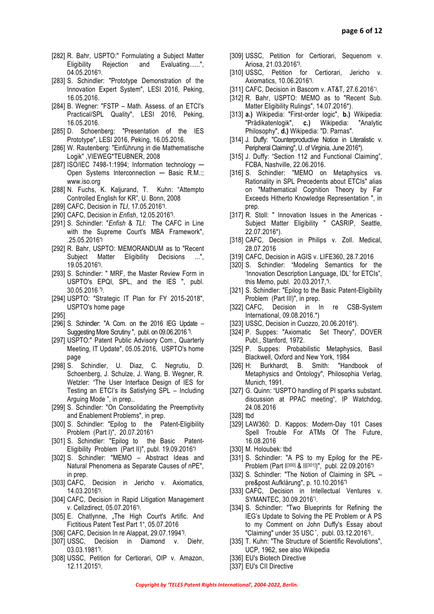- [282] R. Bahr, USPTO:" Formulating a Subject Matter Eligibility Rejection and Evaluating......", 04.05.2016**\*)** .
- [283] S. Schindler: "Prototype Demonstration of the Innovation Expert System", LESI 2016, Peking, 16.05.2016.
- [284] B. Wegner: "FSTP Math. Assess. of an ETCI's Practical/SPL Quality", LESI 2016, Peking, 16.05.2016.
- [285] D. Schoenberg: "Presentation of the IES Prototype", LESI 2016, Peking, 16.05.2016.
- [286] W. Rautenberg: "Einführung in die Mathematische Logik" ,VIEWEG\*TEUBNER, 2008
- [287] ISO/IEC 7498-1:1994; Information technology Open Systems Interconnection - Basic R.M.:; www.iso.org
- [288] N. Fuchs, K. Kaljurand, T. Kuhn: "Attempto Controlled English for KR", U. Bonn, 2008
- [289] CAFC, Decision in *TLI*, 17.05.2016**\*)** .
- [290] CAFC, Decision in *Enfish*, 12.05.2016**\*)** .
- [291] S. Schindler: "*Enfish* & *TLI*: The CAFC in Line with the Supreme Court's MBA Framework", .25.05.2016**\*)**
- [292] R. Bahr, USPTO: MEMORANDUM as to "Recent Subject Matter Eligibility Decisions ...", 19.05.2016**\*)** .
- [293] S. Schindler: " MRF, the Master Review Form in USPTO's EPQI, SPL, and the IES ", publ. 30.05.2016 **\*)** .
- [294] USPTO: "Strategic IT Plan for FY 2015-2018", USPTO's home page
- [295]
- [296] S. Schindler: "A Com. on the 2016 IEG Update Suggesting More Scrutiny ", publ. on 09.06.2016 **\*)** .
- [297] USPTO:" Patent Public Advisory Com., Quarterly Meeting, IT Update", 05.05.2016, USPTO's home page
- [298] S. Schindler, U. Diaz, C. Negrutiu, D. Schoenberg, J. Schulze, J. Wang, B. Wegner, R. Wetzler: "The User Interface Design of IES for Testing an ETCI's its Satisfying SPL – Including Arguing Mode ", in prep..
- [299] S. Schindler: "On Consolidating the Preemptivity and Enablement Problems", in prep.
- [300] S. Schindler: "Epilog to the Patent-Eligibility Problem (Part I)", 20.07.2016**\*)**
- [301] S. Schindler: "Epilog to the Basic Patent-Eligibility Problem (Part II)", publ. 19.09.2016**\*)**
- [302] S. Schindler: "MEMO Abstract Ideas and Natural Phenomena as Separate Causes of nPE", in prep.
- [303] CAFC, Decision in Jericho v. Axiomatics, 14.03.2016**\*)** .
- [304] CAFC, Decision in Rapid Litigation Management v. Cellzdirect, 05.07.2016**\*)** .
- [305] E. Chatlynne, "The High Court's Artific. And Fictitious Patent Test Part 1", 05.07.2016
- [306] CAFC, Decision In re Alappat, 29.07.1994**\*)** .
- [307] USSC, Decision in Diamond v. Diehr, 03.03.1981**\*)** .
- [308] USSC, Petition for Certiorari, OIP v. Amazon, 12.11.2015**\*)** .
- [309] USSC, Petition for Certiorari, Sequenom v. Ariosa, 21.03.2016**\*)** .
- [310] USSC, Petition for Certiorari, Jericho v. Axiomatics, 10.06.2016**\*)** .
- [311] CAFC, Decision in Bascom v. AT&T, 27.6.2016\*).
- [312] R. Bahr, USPTO: MEMO as to "Recent Sub. Matter Eligibility Rulings", 14.07.2016\*).
- [313] **a.)** Wikipedia: "First-order logic", **b.)** Wikipedia: "Prädikatenlogik", **c.)** Wikipedia: "Analytic Philosophy", **d.)** Wikipedia: "D. Parnas".
- [314] J. Duffy: "Counterproductive Notice in Literalistic v. Peripheral Claiming", U. of Virginia, June 2016\*).
- [315] J. Duffy: "Section 112 and Functional Claiming", FCBA, Nashville, 22.06.2016.
- [316] S. Schindler: "MEMO on Metaphysics vs. Rationality in SPL Precedents about ETCIs" alias on "Mathematical Cognition Theory by Far Exceeds Hitherto Knowledge Representation ", in prep.
- [317] R. Stoll: " Innovation Issues in the Americas -Subject Matter Eligibility " CASRIP, Seattle, 22.07.2016\*).
- [318] CAFC, Decision in Philips v. Zoll. Medical, 28.07.2016
- [319] CAFC, Decision in AGIS v. LIFE360, 28.7.2016
- [320] S. Schindler: "Modeling Semantics for the 'Innovation Description Language, IDL' for ETCIs", this Memo, publ. 20.03.2017,**\*)** .
- [321] S. Schindler: "Epilog to the Basic Patent-Eligibility Problem (Part III)", in prep.
- [322] CAFC, Decision in In re CSB-System International, 09.08.2016.\*)
- [323] USSC, Decision in Cuozzo, 20.06.2016\*).
- [324] P. Suppes: "Axiomatic Set Theory", DOVER Publ., Stanford, 1972.
- [325] P. Suppes: Probabilistic Metaphysics, Basil Blackwell, Oxford and New York, 1984
- [326] H: Burkhardt, B. Smith: "Handbook of Metaphysics and Ontology", Philosophia Verlag, Munich, 1991.
- [327] G. Quinn: "USPTO handling of PI sparks substant. discussion at PPAC meeting", IP Watchdog, 24.08.2016
- [328] tbd
- [329] LAW360: D. Kappos: Modern-Day 101 Cases Spell Trouble For ATMs Of The Future, 16.08.2016
- [330] M. Holoubek: tbd
- [331] S. Schindler: "A PS to my Epilog for the PE-Problem (Part I[300] & II[301])", publ. 22.09.2016**\*)**
- [332] S. Schindler: "The Notion of Claiming in SPL pre&post Aufklärung", p. 10.10.2016**\*)**
- [333] CAFC, Decision in Intellectual Ventures v. SYMANTEC, 30.09.2016\*) .
- [334] S. Schindler: "Two Blueprints for Refining the IEG's Update to Solving the PE Problem or A PS to my Comment on John Duffy's Essay about "Claiming" under 35 USC " , publ. 03.12.2016**\*)** ..
- [335] T. Kuhn: "The Structure of Scientific Revolutions", UCP, 1962, see also Wikipedia
- [336] EU's Biotech Directive
- [337] EU's CII Directive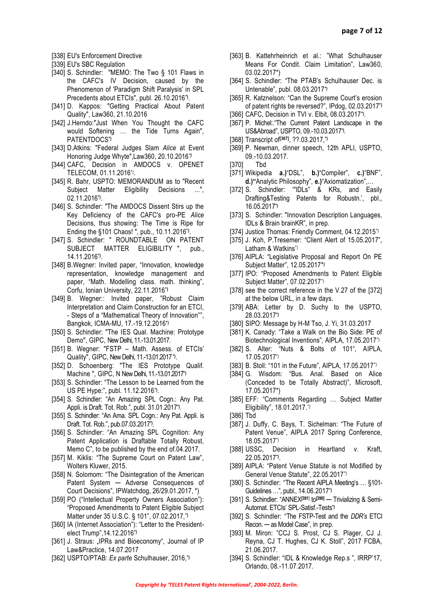- [338] EU's Enforcement Directive
- [339] EU's SBC Regulation
- [340] S. Schindler: "MEMO: The Two § 101 Flaws in the CAFC's IV Decision, caused by the Phenomenon of 'Paradigm Shift Paralysis' in SPL Precedents about ETCIs", publ. 26.10.2016**\*)** .
- [341] D. Kappos: "Getting Practical About Patent Quality", Law360, 21.10.2016
- [342] J.Herndo:"Just When You Thought the CAFC would Softening … the Tide Turns Again", PATENTDOCS**\*)**
- [343] D.Atkins: "Federal Judges Slam *Alice* at Event Honoring Judge Whyte",Law360, 20.10.2016*\*)*
- [344] CAFC, Decision in AMDOCS v. OPENET TELECOM, 01.11.2016\*) .
- [345] R. Bahr, USPTO: MEMORANDUM as to "Recent Subject Matter Eligibility Decisions ...", 02.11.2016**\*)** .
- [346] S. Schindler: "The AMDOCS Dissent Stirs up the Key Deficiency of the CAFC's pro-PE *Alice*  Decisions, thus showing: The Time is Ripe for Ending the §101 Chaos! ", pub., 10.11.2016**\*)** .
- [347] S. Schindler: " ROUNDTABLE ON PATENT SUBJECT MATTER ELIGIBILITY ", pub., 14.11.2016**\*)** .
- [348] B.Wegner: Invited paper, "Innovation, knowledge representation, knowledge management and paper, "Math. Modelling class. math. thinking", Corfu, Ionian University, 22.11.2016**\*)**
- [349] B. Wegner:: Invited paper, "Robust Claim Interpretation and Claim Construction for an ETCI, - Steps of a "Mathematical Theory of Innovation"", Bangkok, ICMA-MU, 17.-19.12.2016**\*)**
- [350] S. Schindler: "The IES Qual. Machine: Prototype Demo", GIPC, New Delhi, 11.-13.01.2017.
- [351] B. Wegner: "FSTP Math. Assess. of ETCIs' Quality", GIPC, New Delhi, 11.-13.01.2017**\*)** .
- [352] D. Schoenberg: "The IES Prototype Qualif. Machine ", GIPC, N New Delhi, 11.-13.01.2017**\*)**
- [353] S. Schindler: "The Lesson to be Learned from the US PE Hype:", publ. 11.12.2016**\*)** .
- [354] S. Schindler: "An Amazing SPL Cogn.: Any Pat. Appli. is Draft. Tot. Rob.", publ. 31.01.2017**\*)** .
- [355] S. Schindler: "An Ama. SPL Cogn.: Any Pat. Appli. is Draft. Tot. Rob.", pub.07.03.2017**\*)** .
- [356] S. Schindler: "An Amazing SPL Cognition: Any Patent Application is Draftable Totally Robust, Memo C", to be published by the end of.04.2017.
- [357] M. Kiklis: "The Supreme Court on Patent Law", Wolters Kluwer, 2015.
- [358] N. Solomom: "The Disintegration of the American Patent System — Adverse Consequences of Court Decisions", IPWatchdog, 26/29.01.2017, \*)
- [359] PO ("Intellectual Property Owners Association"): "Proposed Amendments to Patent Eligible Subject Matter under 35 U.S.C. § 101", 07.02.2017,**\*)**
- [360] IA (Internet Association"): "Letter to the Presidentelect Trump",14.12.2016**\*)**
- [361] J. Straus: "IPRs and Bioeconomy", Journal of IP Law&Practice, 14.07.2017
- [362] USPTO/PTAB: *Ex parte* Schulhauser, 2016,**\*)**
- [363] B. Kattehrheinrich et al.: "What Schulhauser Means For Condit. Claim Limitation", Law360, 03.02.2017\*)
- [364] S. Schindler: "The PTAB's Schulhauser Dec. is Untenable", publ. 08.03.2017**\*)**
- [365] R. Katznelson: "Can the Supreme Court's erosion of patent rights be reversed?", IPdog, 02.03.2017**\*)**
- [366] CAFC, Decision in TVI v. Elbit, 08.03.2017**\*)** .
- [367] P. Michel:."The Current Patent Landscape in the US&Abroad", USPTO, 09.-10.03.2017**\*)** .
- [368] Transcript of**[367]**, ??.03.2017,**\*)**
- [369] P. Newman, dinner speech, 12th APLI, USPTO, 09.-10.03.2017.
- [370] Tbd
- [371] Wikipedia **a.)**"DSL", **b.)**"Compiler", **c.)**"BNF", **d.)"**Analytic Philosophy", **e.)**"Axiomatization",…
- [372] S. Schindler: "IDLs" & KRs, and Easily Drafting&Testing Patents for Robustn.', pbl., 16.05.2017**\*)**
- [373] S. Schindler: "Innovation Description Languages, IDLs & Brain brainKR", in prep.
- [374] Justice Thomas: Friendly Comment, 04.12.2015\*)
- [375] J. Koh, P.Tresemer: "Client Alert of 15.05.2017", Latham & Watkins<sup>\*</sup>
- [376] AIPLA: "Legislative Proposal and Report On PE Subject Matter", 12.05.2017\***)**
- [377] IPO: "Proposed Amendments to Patent Eligible Subject Matter", 07.02.2017\*)
- [378] see the correct reference in the V.27 of the [372] at the below URL, in a few days.
- [379] ABA: Letter by D. Suchy to the USPTO, 28.03.2017**\*)**
- [380] SIPO: Message by H-M Tso, J. Yi, 31.03.2017
- [381] K. Canady: "Take a Walk on the Bio Side: PE of Biotechnological Inventions", AIPLA, 17.05.2017\*)
- [382] S. Alter: "Nuts & Bolts of 101", AIPLA, 17.05.2017\*)
- [383] B. Stoll: "101 in the Future", AIPLA, 17.05.2017")
- [384] G. Wisdom: "Bus. Anal. Based on Alice (Conceded to be Totally Abstract)", Microsoft, 17.05.2017\*)
- [385] EFF: "Comments Regarding ... Subject Matter Eligibility", 18.01.2017.\*)
- [386] Tbd
- [387] J. Duffy, C. Bays, T. Sichelman: "The Future of Patent Venue", AIPLA 2017 Spring Conference, 18.05.2017\*)
- [388] USSC, Decision in Heartland v. Kraft, 22.05.2017**\*)** .
- [389] AIPLA: "Patent Venue Statute is not Modified by General Venue Statute", 22.05.2017\*)
- [390] S. Schindler: "The Recent AIPLA Meeting's ... §101-Guidelines …", publ., 14.06.2017**\*)**
- [391] S. Schindler: "ANNEX**[391**] to**[390]** ─ Trivializing & Semi-Automat. ETCIs' SPL-Satisf.-Tests**\*)**
- [392] S. Schindler: "The FSTP-Test and the *DDR's* ETCI Recon. — as Model Case", in prep.
- [393] M. Miron: "CCJ S. Prost, CJ S. Plager, CJ J. Reyna, CJ T. Hughes, CJ K. Stoll", 2017 FCBA, 21.06.2017.
- [394] S. Schindler: "IDL & Knowledge Rep.s", IRRP'17, Orlando, 08.-11.07.2017.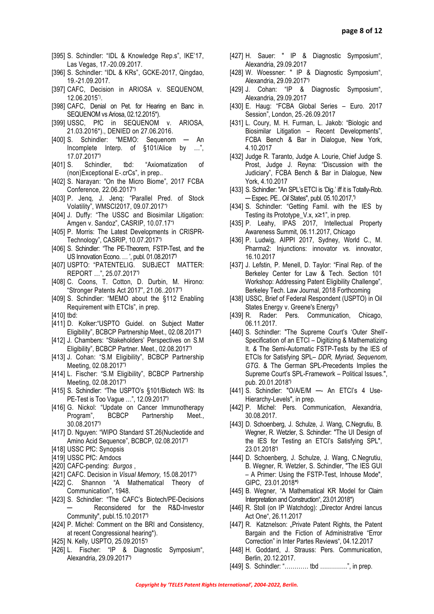- [395] S. Schindler: "IDL & Knowledge Rep.s", IKE'17, Las Vegas, 17.-20.09.2017.
- [396] S. Schindler: "IDL & KRs", GCKE-2017, Qingdao, 19.-21.09.2017.
- [397] CAFC, Decision in ARIOSA v. SEQUENOM, 12.06.2015\*) .
- [398] CAFC, Denial on Pet. for Hearing en Banc in. SEQUENOM vs Ariosa, 02.12.2015\*).
- [399] USSC, PfC in SEQUENOM v. ARIOSA, 21.03.2016\*)., DENIED on 27.06.2016.
- [400] S. Schindler: "MEMO: Sequenom An Incomplete Interp. of §101/Alice by …", 17.07.2017**\*)**
- [401] S. Schindler, tbd: "Axiomatization of (non)Exceptional E-.crCs", in prep..
- [402] S. Narayan: "On the Micro Biome", 2017 FCBA Conference, 22.06.2017**\*)**
- [403] P. Jeng, J. Jeng: "Parallel Pred. of Stock Volatility", WMSCI2017, 09.07.2017**\*)**
- [404] J. Duffy: "The USSC and Biosimilar Litigation: Amgen v. Sandoz", CASRIP, 10.07.17**\*)**
- [405] P. Morris: The Latest Developments in CRISPR-Technology", CASRIP, 10.07.2017**\*)**
- [406] S. Schindler: "The PE-Theorem, FSTP-Test, and the US Innovation Econo. … ', publ. 01.08.2017**\*)**
- [407] USPTO: "PATENTELIG. SUBJECT MATTER: REPORT …", 25.07.2017**\*)**
- [408] C. Coons, T. Cotton, D. Durbin, M. Hirono: "Stronger Patents Act 2017", 21.06..2017**\*)**
- [409] S. Schindler: "MEMO about the §112 Enabling Requirement with ETCIs", in prep.
- [410] tbd:
- [411] D. Kolker:"USPTO Guidel. on Subject Matter Eligibility", BCBCP Partnership Meet., 02.08.2017**\*)**
- [412] J. Chambers: "Stakeholders' Perspectives on S.M Eligibility", BCBCP Partner. Meet., 02.08.2017**\*)**
- [413] J. Cohan: "S.M Eligibility", BCBCP Partnership Meeting, 02.08.2017**\*)**
- [414] L. Fischer: "S.M Eligibility", BCBCP Partnership Meeting, 02.08.2017**\*)**
- [415] S. Schindler: "The USPTO's §101/Biotech WS: Its PE-Test is Too Vague …", 12.09.2017**\*)**
- [416] G. Nickol: "Update on Cancer Immunotherapy Program", BCBCP Partnership Meet., 30.08.2017**\*)**
- [417] D. Nguyen: "WIPO Standard ST.26(Nucleotide and Amino Acid Sequence", BCBCP, 02.08.2017**\*)**
- [418] USSC PfC: Synopsis
- [419] USSC PfC: Amdocs
- [420] CAFC-pending: *Burgos* ,
- [421] CAFC. Decision in *Visual Memory,* 15.08.2017**\*)**
- [422] C. Shannon "A Mathematical Theory of Communication", 1948.
- [423] S. Schindler: "The CAFC's Biotech/PE-Decisions ─ Reconsidered for the R&D-Investor Community", publ.15.10.2017**\*)**
- [424] P. Michel: Comment on the BRI and Consistency, at recent Congressional hearing\*).
- [425] N. Kelly, USPTO, 25.09.2015**\*)**
- [426] L. Fischer: "IP & Diagnostic Symposium", Alexandria, 29.09.2017**\*)**
- [427] H. Sauer: " IP & Diagnostic Symposium", Alexandria, 29.09.2017
- [428] W. Woessner: " IP & Diagnostic Symposium", Alexandria, 29.09.2017**\*)**
- [429] J. Cohan: "IP & Diagnostic Symposium", Alexandria, 29.09.2017
- [430] E. Haug: "FCBA Global Series Euro. 2017 Session", London, 25.-26.09.2017
- [431] L. Coury, M. H. Furman, L. Jakob: "Biologic and Biosimilar Litigation – Recent Developments", FCBA Bench & Bar in Dialogue, New York, 4.10.2017
- [432] Judge R. Taranto, Judge A. Lourie, Chief Judge S. Prost, Judge J. Reyna: "Discussion with the Judiciary", FCBA Bench & Bar in Dialogue, New York, 4.10.2017
- [433] S. Schindler: "An SPL's ETCI is 'Dig.' iff it is Totally-Rob. ─ Espec. PE.. *Oil* States", publ. 05.10.2017,**\*)**
- [434] S. Schindler: "Getting Famil, with the IES by Testing its Prototype\_V.x, x≥1", in prep.
- [435] P. Leahy, IPAS 2017, Intellectual Property Awareness Summit, 06.11.2017, Chicago
- [436] P. Ludwig, AIPPI 2017, Sydney, World C., M. Pharma2: Injunctions: innovator vs. innovator, 16.10.2017
- [437] J. Lefstin, P. Menell, D. Taylor: "Final Rep. of the Berkeley Center for Law & Tech. Section 101 Workshop: Addressing Patent Eligibility Challenge", Berkeley Tech. Law Journal, 2018 Forthcoming
- [438] USSC, Brief of Federal Respondent (USPTO) in Oil States Energy v. Greene's Energy**\*)**
- [439] R. Rader: Pers. Communication, Chicago, 06.11.2017.
- [440] S. Schindler: "The Supreme Court's 'Outer Shell'-Specification of an ETCI – Digitizing & Mathematizing It*. &* The Semi-Automatic FSTP-Tests by the IES of ETCIs for Satisfying SPL– *DDR, Myriad, Sequenom, GTG*. & The German SPL-Precedents Implies the Supreme Court's SPL-Framework – Political Issues.", pub. 20.01.2018**\*)**
- [441] S. Schindler: "O/A/E/M An ETCI's 4 Use-Hierarchy-Levels", in prep.
- [442] P. Michel: Pers. Communication, Alexandria, 30.08.2017.
- [443] D. Schoenberg, J. Schulze, J. Wang, C.Negrutiu, B. Wegner, R. Wetzler, S. Schindler: "The UI Design of the IES for Testing an ETCI's Satisfying SPL", 23.01.2018**\*)**
- [444] D. Schoenberg, J. Schulze, J. Wang, C.Negrutiu, B. Wegner, R. Wetzler, S. Schindler, "The IES GUI – A Primer: Using the FSTP-Test, Inhouse Mode", GIPC, 23.01.2018**\* )**
- [445] B. Wegner, "A Mathematical KR Model for Claim Interpretation and Construction", 23.01.2018\*)
- [446] R. Stoll (on IP Watchdog): "Director Andrei Iancus Act One", 26.11.2017
- [447] R. Katznelson: "Private Patent Rights, the Patent Bargain and the Fiction of Administrative "Error Correction" in Inter Partes Reviews", 04.12.2017
- [448] H. Goddard, J. Strauss: Pers. Communication, Berlin, 20.12.2017.
- [449] S. Schindler: "………… tbd …………..", in prep.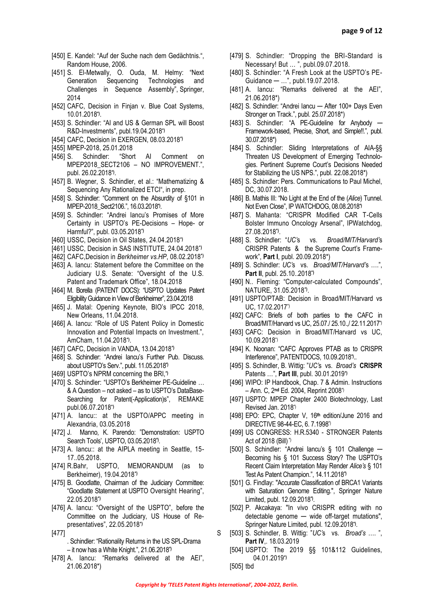- [450] E. Kandel: "Auf der Suche nach dem Gedächtnis.", Random House, 2006.
- [451] S. El-Metwally, O. Ouda, M. Helmy: "Next Generation Sequencing Technologies and Challenges in Sequence Assembly", Springer, 2014
- [452] CAFC, Decision in Finjan v. Blue Coat Systems, 10.01.2018**\*)** .
- [453] S. Schindler: "AI and US & German SPL will Boost R&D-Investments", publ.19.04.2018**\*)**
- [454] CAFC, Decision in EXERGEN, 08.03.2018**\*)**
- [455] MPEP-2018, 25.01.2018
- [456] S. Schindler: "Short AI Comment on MPEP2018 SECT2106 – NO IMPROVEMENT.", publ. 26.02.2018**\*)** .
- [457] B. Wegner, S. Schindler, et al.: "Mathematizing & Sequencing Any Rationalized ETCI", in prep.
- [458] S. Schindler: "Comment on the Absurdity of §101 in MPEP-2018\_Sect2106.", 16.03.2018**\*)** .
- [459] S. Schindler: "Andrei Iancu's Promises of More Certainty in USPTO's PE-Decisions – Hope- or Harmful?", publ. 03.05.2018**\*)**
- [460] USSC, Decision in Oil States, 24.04.2018**\*)**
- [461] USSC, Decision in SAS INSTITUTE, 24.04.2018**\*)**
- [462] CAFC,Decision in *Berkheimer vs.HP*, 08.02.2018**\*)**
- [463] A. Iancu: Statement before the Committee on the Judiciary U.S. Senate: "Oversight of the U.S. Patent and Trademark Office", 18.04.2018
- [464] [M. Borella](http://www.mbhb.com/attorneys/borella/) (PATENT DOCS): "USPTO Updates Patent Eligibility Guidance in View of Berkheimer", 23.04.2018
- [465] J. Matal: Opening Keynote, BIO's IPCC 2018, New Orleans, 11.04.2018.
- [466] A. Iancu: "Role of US Patent Policy in Domestic Innovation and Potential Impacts on Investment.", AmCham, 11.04.2018**\*)** .
- [467] CAFC, Decision in VANDA, 13.04.2018**\*)**
- [468] S. Schindler: "Andrei Iancu's Further Pub. Discuss. about USPTO's Serv.", publ. 11.05.2018**\*)**
- [469] USPTO's NPRM concerning the BRI,**\*)**
- [470] S. Schindler: "USPTO's Berkheimer PE-Guideline ... & A Question – not asked – as to USPTO's DataBase-Searching for Patent(-Application)s", REMAKE publ.06.07.2018**\*)**
- [471] A. lancu:: at the USPTO/APPC meeting in Alexandria, 03.05.2018
- [472] J. Manno, K. Parendo: "Demonstration: USPTO Search Tools', USPTO, 03.05.2018**\*)** .
- [473] A. lancu:: at the AIPLA meeting in Seattle, 15-17..05.2018.
- [474] R.Bahr, USPTO, MEMORANDUM (as to Berkheimer), 19.04.2018**\*)**
- [475] B. Goodlatte, Chairman of the Judiciary Committee: "Goodlatte Statement at USPTO Oversight Hearing", 22.05.2018**\*)**
- [476] A. Iancu: "Oversight of the USPTO", before the Committee on the Judiciary, US House of Representatives", 22.05.2018**\*)**
- [477] S

. Schindler: "Rationality Returns in the US SPL-Drama – it now has a White Knight.", 21.06.2018**\*)**

[478] A. Iancu: "Remarks delivered at the AEI", 21.06.2018\*)

- [479] S. Schindler: "Dropping the BRI-Standard is Necessary! But … ", publ.09.07.2018.
- [480] S. Schindler: "A Fresh Look at the USPTO's PE-Guidance ─ …", publ.19.07.2018.
- [481] A. Iancu: "Remarks delivered at the AEI", 21.06.2018\*)
- [482] S. Schindler: "Andrei Iancu After 100+ Days Even Stronger on Track.", publ. 25.07.2018\*)
- [483] S. Schindler: "A PE-Guideline for Anybody -Framework-based, Precise, Short, and Simple!!.", publ. 30.07.2018\*)
- [484] S. Schindler: Sliding Interpretations of AIA-§§ Threaten US Development of Emerging Technologies. Pertinent Supreme Court's Decisions Needed for Stabilizing the US NPS.", publ. 22.08.2018\*)
- [485] S. Schindler: Pers. Communications to Paul Michel, DC, 30.07.2018.
- [486] B. Mathis III: "No Light at the End of the (*Alice*) Tunnel. Not Even Close", IP WATCHDOG, 08.08.2018**\*)**
- [487] S. Mahanta: "CRISPR Modified CAR T-Cells Bolster Immuno Oncology Arsenal", IPWatchdog, 27.08.2018**\*)** .
- [488] S. Schindler: "*UC'*s vs. *Broad/MIT/Harvard'*s CRISPR Patents & the Supreme Court's Framework", **Part I**, publ. 20.09.2018\*)
- [489] S. Schindler: *UC'*s vs. *Broad/MIT/Harvard'*s ….", **Part II**, publ. 25.10..2018**\*)**
- [490] N.. Fleming: "Computer-calculated Compounds", NATURE, 31.05.2018**\*)** .
- [491] USPTO/PTAB: Decision in Broad/MIT/Harvard vs UC, 17.02.2017\*)
- [492] CAFC: Briefs of both parties to the CAFC in Broad/MIT/Harvard vs UC, 25.07./ 25.10.,/ 22.11.2017<sup>\*</sup>)
- [493] CAFC: Decision in Broad/MIT/Harvard vs UC, 10.09.2018\*)
- [494] K. Noonan: "CAFC Approves PTAB as to CRISPR Interference", PATENTDOCS, 10.09.2018**\*)** ..
- [495] S. Schindler, B. Wittig: "*UC'*s vs. *Broad's* **CRISPR** Patents …", **Part III**, publ. 30.01.2019**\*)**
- [496] WIPO: IP Handbook, Chap. 7 & Admin. Instructions – Ann. C, 2**nd** Ed. 2004, Reprint 2008\*)
- [497] USPTO: MPEP Chapter 2400 Biotechnology, Last Revised Jan. 2018\*)
- [498] EPO: EPC, Chapter V, 16**th** edition/June 2016 and DIRECTIVE 98-44-EC, 6. 7.1998\*)
- [499] US CONGRESS: H.R.5340 STRONGER Patents Act of 2018 (Bill) \*)
- [500] S. Schindler: "Andrei Iancu's § 101 Challenge Becoming his § 101 Success Story? The USPTO's Recent Claim Interpretation May Render *Alice's* § 101 Test As Patent Champion.", 14.11.2018**\*)**
- [501] G. Findlay: "Accurate Classification of BRCA1 Variants with Saturation Genome Editing.", Springer Nature Limited, publ. 12.09.2018**\*)** .
- [502] P. Akcakaya: "In vivo CRISPR editing with no detectable genome - wide off-target mutations", Springer Nature Limited, publ. 12.09.2018**\*)** .
- [503] S. Schindler, B. Wittig: "*UC'*s vs. *Broad's* …. ", **Part IV**,. 18.03.2019
- [504] USPTO: The 2019 §§ 101&112 Guidelines, 04.01.2019**\*)**
- [505] tbd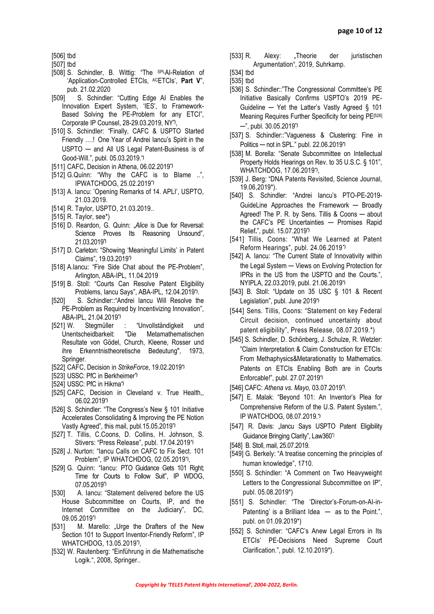[506] tbd

- [507] tbd
- [508] S. Schindler, B. Wittig: "The SPLAI-Relation of 'Application-Controlled ETCIs, ACETCIs', **Part V**", pub. 21.02.2020
- [509] S. Schindler: "Cutting Edge AI Enables the Innovation Expert System, 'IES', to Framework-Based Solving the PE-Problem for any ETCI", Corporate IP Counsel, 28-29.03.2019, NY**\*)** ,
- [510] S. Schindler: "Finally, CAFC & USPTO Started Friendly ….! One Year of Andrei Iancu's Spirit in the USPTO ─ and All US Legal Patent-Business is of Good-Will.", publ. 05.03.2019.**\*)**
- [511] CAFC, Decision in Athena, 06.02.2019**\*)**
- [512] G.Quinn: "Why the CAFC is to Blame ..", IPWATCHDOG, 25.02.2019**\*)**
- [513] A. Iancu: 'Opening Remarks of 14. APLI', USPTO, 21.03.2019.
- [514] R. Taylor, USPTO, 21.03.2019..
- [515] R. Taylor, see\*)
- [516] [D. Reardon,](http://www.ipwatchdog.com/author/david-reardon/) [G. Quinn:](http://www.ipwatchdog.com/author/gene-quinn-2/) "Alice is Due for Reversal: Science Proves Its Reasoning Unsound", 21.03.2019**\*)**
- [517] D. Carleton: "Showing 'Meaningful Limits' in Patent Claims", 19.03.2019**\*)**
- [518] A.Iancu: "Fire Side Chat about the PE-Problem", Arlington, ABA-IPL, 11.04.2019
- [519] B. Stoll: "Courts Can Resolve Patent Eligibility Problems, Iancu Says", ABA-IPL, 12.04.2019**\*)** .
- [520] S. Schindler:: "Andrei Iancu Will Resolve the PE-Problem as Required by Incentivizing Innovation", ABA-IPL, 21.04.2019**\*)**
- [521] W. Stegmüller : "[Unvollständigkeit und](https://www.amazon.de/gp/r.html?C=3ILR4VQSVD3HI&K=3R1MT6VAA57T8&M=urn:rtn:msg:201904130536332dab1c0fbd1e4057888a1de00a80p0eu&R=3P2Y7I6IGC7MD&T=C&U=https%3A%2F%2Fwww.amazon.de%2Fdp%2F3211812083%2Fref%3Dpe_3044161_185740101_TE_item&H=QVHVRJYAESIA6TI8EVKJXETXSHOA&ref_=pe_3044161_185740101_TE_item)  [Unentscheidbarkeit: "Die Metamathematischen](https://www.amazon.de/gp/r.html?C=3ILR4VQSVD3HI&K=3R1MT6VAA57T8&M=urn:rtn:msg:201904130536332dab1c0fbd1e4057888a1de00a80p0eu&R=3P2Y7I6IGC7MD&T=C&U=https%3A%2F%2Fwww.amazon.de%2Fdp%2F3211812083%2Fref%3Dpe_3044161_185740101_TE_item&H=QVHVRJYAESIA6TI8EVKJXETXSHOA&ref_=pe_3044161_185740101_TE_item)  [Resultate von Gödel, Church, Kleene, Rosser und](https://www.amazon.de/gp/r.html?C=3ILR4VQSVD3HI&K=3R1MT6VAA57T8&M=urn:rtn:msg:201904130536332dab1c0fbd1e4057888a1de00a80p0eu&R=3P2Y7I6IGC7MD&T=C&U=https%3A%2F%2Fwww.amazon.de%2Fdp%2F3211812083%2Fref%3Dpe_3044161_185740101_TE_item&H=QVHVRJYAESIA6TI8EVKJXETXSHOA&ref_=pe_3044161_185740101_TE_item)  [ihre Erkenntnistheoretische Bedeutung",](https://www.amazon.de/gp/r.html?C=3ILR4VQSVD3HI&K=3R1MT6VAA57T8&M=urn:rtn:msg:201904130536332dab1c0fbd1e4057888a1de00a80p0eu&R=3P2Y7I6IGC7MD&T=C&U=https%3A%2F%2Fwww.amazon.de%2Fdp%2F3211812083%2Fref%3Dpe_3044161_185740101_TE_item&H=QVHVRJYAESIA6TI8EVKJXETXSHOA&ref_=pe_3044161_185740101_TE_item) 1973, Springer.
- [522] CAFC, Decision in *StrikeForce*, 19.02.2019**\*)**
- [523] USSC: PfC in Berkheimer**\*)**
- [524] USSC: PfC in Hikma**\*)**
- [525] CAFC, Decision in Cleveland v. True Health,, 06.02.2019**\*)**
- [526] S. Schindler: "The Congress's New § 101 Initiative Accelerates Consolidating & Improving the PE Notion Vastly Agreed", this mail, publ.15.05.2019**\*)**
- [527] T. Tillis, C.Coons, D. Collins, H. Johnson, S. Stivers: "Press Release", publ. 17.04.2019**\*)**
- [528] J. Nurton: "Iancu Calls on CAFC to Fix Sect. 101 Problem", IP WHATCHDOG, 02.05.2019**\*)** ,
- [529] G. Quinn: "Iancu: PTO Guidance Gets 101 Right: Time for Courts to Follow Suit", IP WDOG, 07.05.2019**\*)**
- [530] A. Iancu: "Statement delivered before the US House Subcommittee on Courts, IP, and the Internet Committee on the Judiciary", DC, 09.05.2019**\*)**
- [531] M. Marello: "Urge the Drafters of the New Section 101 to Support Inventor-Friendly Reform", IP WHATCHDOG, 13.05.2019**\*)** ,
- [532] W. Rautenberg: "Einführung in die Mathematische Logik.", 2008, Springer..
- [533] R. Alexy: "Theorie der juristischen Argumentation", 2019, Suhrkamp.
- [534] tbd
- [535] tbd
- [536] S. Schindler::"The Congressional Committee's PE Initiative Basically Confirms USPTO's 2019 PE-Guideline ─ Yet the Latter's Vastly Agreed § 101 Meaning Requires Further Specificity for being PE[526] ─", publ. 30.05.2019**\*)**
- [537] S. Schindler::"Vagueness & Clustering: Fine in Politics ─ not in SPL." publ. 22.06.2019**\*)**
- [538] M. Borella: "Senate Subcommittee on Intellectual Property Holds Hearings on Rev. to 35 U.S.C. § 101", WHATCHDOG, 17.06.2019**\*)** ,
- [539] J. Berg: "DNA Patents Revisited, Science Journal, 19.06,2019\*).
- [540] S. Schindler: "Andrei Iancu's PTO-PE-2019-GuideLine Approaches the Framework — Broadly Agreed! The P. R. by Sens. Tillis & Coons — about the CAFC's PE Uncertainties ─ Promises Rapid Relief**.**", publ. 15.07.2019**\*)**
- [541] Tillis, Coons: "What We Learned at Patent Reform Hearings", publ. 24.06.2019**\*)**
- [542] A. Iancu: "The Current State of Innovativity within the Legal System — Views on Evolving Protection for IPRs in the US from the USPTO and the Courts.", NYIPLA, 22.03.2019, publ. 21.06.2019**\*)**
- [543] B. Stoll: "Update on 35 USC § 101 & Recent Legislation", publ. June 2019**\*)**
- [544] Sens. Tillis, Coons: "Statement on key Federal Circuit decision, continued uncertainty about patent eligibility", Press Release, 08.07.2019.\*)
- [545] S. Schindler, D. Schönberg, J. Schulze, R. Wetzler: "Claim Interpretation & Claim Construction for ETCIs: From Methaphysics&Metarationatity to Mathematics. Patents on ETCIs Enabling Both are in Courts Enforcable!", publ. 27.07.2019**\*)**
- [546] CAFC: *Athena vs. Mayo,* 03.07.2019**\*)** .
- [547] E. Malak: "Beyond 101: An Inventor's Plea for Comprehensive Reform of the U.S. Patent System.", IP WATCHDOG, 08.07.2019.**\*)**
- [547] R. Davis: "lancu Says USPTO Patent Eligibility Guidance Bringing Clarity", Law360\*)
- [548] B. Stoll, mail, 25.07.2019.
- [549] G. Berkely: "A treatise concerning the principles of human knowledge", 1710.
- [550] S. Schindler: "A Comment on Two Heavyweight Letters to the Congressional Subcommittee on IP", publ. 05.08.2019\*)
- [551] S. Schindler: "The 'Director's-Forum-on-AI-in-Patenting' is a Brilliant Idea  $-$  as to the Point.", publ. on 01.09.2019\*)
- [552] S. Schindler: "CAFC's Anew Legal Errors in Its ETCIs' PE-Decisions Need Supreme Court Clarification.", publ. 12.10.2019\*).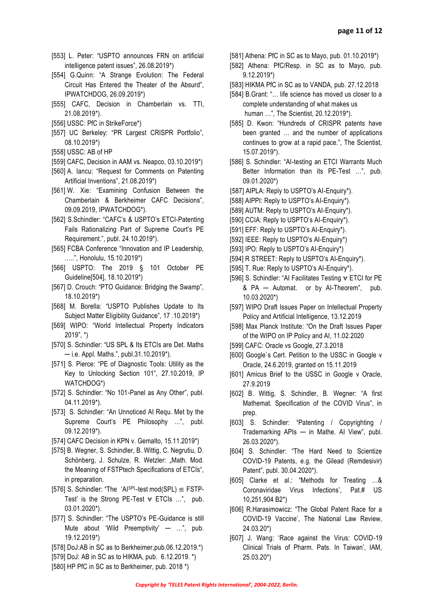- [553] L. Peter: "USPTO announces FRN on artificial intelligence patent issues", 26.08.2019\*)
- [554] G.Quinn: "A Strange Evolution: The Federal Circuit Has Entered the Theater of the Absurd", IPWATCHDOG, 26.09.2019\*)
- [555] CAFC, Decision in Chamberlain vs. TTI, 21.08.2019\*).
- [556] USSC: PfC in StrikeForce\*)
- [557] UC Berkeley: "PR Largest CRISPR Portfolio", 08.10.2019\*)
- [558] USSC: AB of HP
- [559] CAFC, Decision in AAM vs. Neapco, 03.10.2019\*)
- [560] A. Iancu: "Request for Comments on Patenting Artificial Inventions", 21.08.2019\*)
- [561] W. Xie: "Examining Confusion Between the Chamberlain & Berkheimer CAFC Decisions", 09.09.2019, IPWATCHDOG\*).
- [562] S.Schindler: "CAFC's & USPTO's ETCI-Patenting Fails Rationalizing Part of Supreme Court's PE Requirement.", publ. 24.10.2019\*).
- [565] FCBA Conference "Innovation and IP Leadership, …..", Honolulu, 15.10.2019\*)
- [566] USPTO: The 2019 § 101 October PE Guideline[504], 18.10.2019\*)
- [567] D. Crouch: "PTO Guidance: Bridging the Swamp", 18.10.2019\*)
- [568] M. Borella: "USPTO Publishes Update to Its Subject Matter Eligibility Guidance", 17 .10.2019\*)
- [569] WIPO: "World Intellectual Property Indicators 2019", \*)
- [570] S. Schindler: "US SPL & Its ETCIs are Det. Maths ─ i.e. Appl. Maths.", publ.31.10.2019\*).
- [571] S. Pierce: "PE of Diagnostic Tools: Utility as the Key to Unlocking Section 101", 27.10.2019, IP WATCHDOG\*)
- [572] S. Schindler: "No 101-Panel as Any Other", publ. 04.11.2019\*).
- [573] S. Schindler: "An Unnoticed AI Requ. Met by the Supreme Court's PE Philosophy ...", publ. 09.12.2019\*).
- [574] CAFC Decision in KPN v. Gemalto, 15.11.2019\*)
- [575] B. Wegner, S. Schindler, B. Wittig, C. Negrutiu, D. Schönberg, J. Schulze, R. Wetzler: "Math. Mod. the Meaning of FSTPtech Specifications of ETCIs", in preparation.
- [576] S. Schindler: "The 'AlsPL-test mod(SPL)  $\cong$  FSTP-Test' is the Strong PE-Test  $\forall$  ETCIs ...", pub. 03.01.2020\*).
- [577] S. Schindler: "The USPTO's PE-Guidance is still Mute about 'Wild Preemptivity'  $-$  ...", pub. 19.12.2019\*)
- [578] DoJ:AB in SC as to Berkheimer,pub.06.12.2019.\*)
- [579] DoJ: AB in SC as to HIKMA, pub. 6.12.2019. \*)
- [580] HP PfC in SC as to Berkheimer, pub. 2018 \*)
- [581] Athena: PfC in SC as to Mayo, pub. 01.10.2019\*)
- [582] Athena: PfC/Resp. in SC as to Mayo, pub. 9.12.2019\*)
- [583] HIKMA PfC in SC as to VANDA, pub. 27.12.2018
- [584] B.Grant: "... life science has moved us closer to a complete understanding of what makes us human …", The Scientist, 20.12.2019\*).
- [585] D. Kwon: "Hundreds of CRISPR patents have been granted … and the number of applications continues to grow at a rapid pace.", The Scientist, 15.07.2019\*).
- [586] S. Schindler: "AI-testing an ETCI Warrants Much Better Information than its PE-Test …", pub. 09.01.2020\*)
- [587] AIPLA: Reply to USPTO's AI-Enquiry\*).
- [588] AIPPI: Reply to USPTO's AI-Enquiry\*).
- [589] AUTM: Reply to USPTO's AI-Enquiry\*).
- [590] CCIA: Reply to USPTO's AI-Enquiry\*).
- [591] EFF: Reply to USPTO's AI-Enquiry\*).
- [592] IEEE: Reply to USPTO's AI-Enquiry\*)
- [593] IPO: Reply to USPTO's Al-Enquiry\*)
- [594] R STREET: Reply to USPTO's AI-Enquiry\*).
- [595] T. Rue: Reply to USPTO's AI-Enquiry\*).
- [596] S. Schindler: "AI Facilitates Testing ⩝ ETCI for PE & PA ─ Automat. or by AI-Theorem", pub. 10.03.2020\*)
- [597] WIPO Draft Issues Paper on Intellectual Property Policy and Artificial Intelligence, 13.12.2019
- [598] Max Planck Institute: "On the Draft Issues Paper of the WIPO on IP Policy and AI, 11.02.2020
- [599] CAFC: Oracle vs Google, 27.3.2018
- [600] Google`s Cert. Petition to the USSC in Google v Oracle, 24.6.2019, granted on 15.11.2019
- [601] Amicus Brief to the USSC in Google v Oracle, 27.9.2019
- [602] B. Wittig, S. Schindler, B. Wegner: "A first Mathemat. Specification of the COVID Virus", in prep.
- [603] S. Schindler: "Patenting / Copyrighting / Trademarking  $APIs$  — in Mathe. Al View", publ. 26.03.2020\*).
- [604] S. Schindler: "The Hard Need to Scientize COVID-19 Patents, e.g. the Gilead (Remdesivir) Patent", publ. 30.04.2020\*).
- [605] Clarke et al.: "Methods for Treating …& Coronaviridae Virus Infections', Pat.# US 10,251,904 B2\*)
- [606] R.Harasimowicz: "The Global Patent Race for a COVID-19 Vaccine', The National Law Review, 24.03.20\*)
- [607] J. Wang: 'Race against the Virus: COVID-19 Clinical Trials of Pharm. Pats. In Taiwan', IAM, 25.03.20\*)